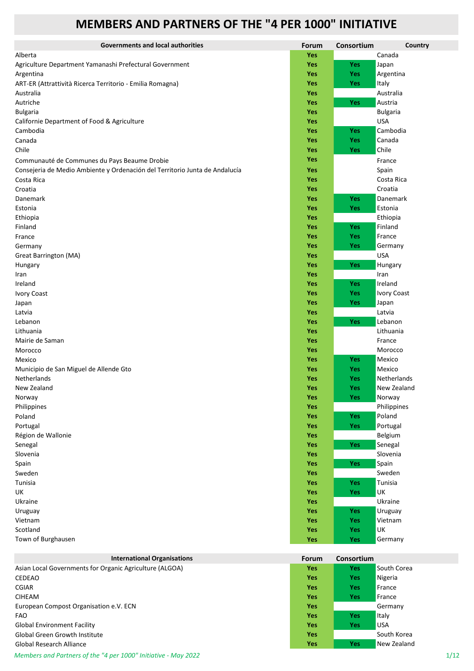## **MEMBERS AND PARTNERS OF THE "4 PER 1000" INITIATIVE**

| <b>Governments and local authorities</b>                                    | Forum      | Consortium | Country            |
|-----------------------------------------------------------------------------|------------|------------|--------------------|
| Alberta                                                                     | Yes        |            | Canada             |
| Agriculture Department Yamanashi Prefectural Government                     | Yes        | <b>Yes</b> | Japan              |
| Argentina                                                                   | Yes        | Yes        | Argentina          |
| ART-ER (Attrattività Ricerca Territorio - Emilia Romagna)                   | <b>Yes</b> | Yes        | Italy              |
| Australia                                                                   | <b>Yes</b> |            | Australia          |
| Autriche                                                                    | Yes        | Yes        | Austria            |
| <b>Bulgaria</b>                                                             | Yes        |            | <b>Bulgaria</b>    |
| Californie Department of Food & Agriculture                                 | Yes        |            | <b>USA</b>         |
| Cambodia                                                                    | Yes        | Yes        | Cambodia           |
| Canada                                                                      | Yes        | Yes        | Canada             |
| Chile                                                                       | Yes        | Yes        | Chile              |
| Communauté de Communes du Pays Beaume Drobie                                | Yes        |            | France             |
| Consejeria de Medio Ambiente y Ordenación del Territorio Junta de Andalucía | Yes        |            | Spain              |
| Costa Rica                                                                  | Yes        |            | Costa Rica         |
| Croatia                                                                     | <b>Yes</b> |            | Croatia            |
| Danemark                                                                    | Yes        | Yes        | Danemark           |
| Estonia                                                                     | Yes        | Yes        | Estonia            |
| Ethiopia                                                                    | Yes        |            | Ethiopia           |
| Finland                                                                     | Yes        | Yes        | Finland            |
| France                                                                      | Yes        | Yes        | France             |
| Germany                                                                     | Yes        | Yes        | Germany            |
| Great Barrington (MA)                                                       | Yes        |            | <b>USA</b>         |
| Hungary                                                                     | Yes        | Yes        | Hungary            |
| Iran                                                                        | Yes        |            | Iran               |
| Ireland                                                                     | Yes        | Yes        | Ireland            |
| <b>Ivory Coast</b>                                                          | Yes        | <b>Yes</b> | <b>Ivory Coast</b> |
| Japan                                                                       | Yes        | Yes        | Japan              |
| Latvia                                                                      | Yes        |            | Latvia             |
| Lebanon                                                                     | Yes        | Yes        | Lebanon            |
| Lithuania                                                                   | Yes        |            | Lithuania          |
| Mairie de Saman                                                             | Yes        |            | France             |
| Morocco                                                                     | <b>Yes</b> |            | Morocco            |
| Mexico                                                                      | <b>Yes</b> | <b>Yes</b> | Mexico             |
| Municipio de San Miguel de Allende Gto                                      | <b>Yes</b> | <b>Yes</b> | Mexico             |
| Netherlands                                                                 | <b>Yes</b> | <b>Yes</b> | Netherlands        |
| New Zealand                                                                 | Yes        | <b>Yes</b> | New Zealand        |
| Norway                                                                      | Yes        | Yes        | Norway             |
| Philippines                                                                 | <b>Yes</b> |            | Philippines        |
| Poland                                                                      | Yes        | <b>Yes</b> | Poland             |
| Portugal                                                                    | Yes        | Yes        | Portugal           |
| Région de Wallonie                                                          | <b>Yes</b> |            | Belgium            |
| Senegal                                                                     | Yes        | Yes        | Senegal            |
| Slovenia                                                                    | Yes        |            | Slovenia           |
| Spain                                                                       | Yes        | Yes        | Spain              |
| Sweden                                                                      | Yes        |            | Sweden             |
| Tunisia                                                                     | Yes        | Yes        | Tunisia            |
| UK                                                                          | Yes        | Yes        | UK                 |
| Ukraine                                                                     | Yes        |            | Ukraine            |
| Uruguay                                                                     | Yes        | Yes        | Uruguay            |
| Vietnam                                                                     | Yes        | Yes        | Vietnam            |
| Scotland                                                                    | Yes        | Yes        | UK                 |
| Town of Burghausen                                                          | Yes        | Yes        | Germany            |

| <b>International Organisations</b>                      | <b>Forum</b> | Consortium |              |
|---------------------------------------------------------|--------------|------------|--------------|
| Asian Local Governments for Organic Agriculture (ALGOA) | <b>Yes</b>   | <b>Yes</b> | South Corea  |
| CEDEAO                                                  | <b>Yes</b>   | <b>Yes</b> | Nigeria      |
| <b>CGIAR</b>                                            | <b>Yes</b>   | <b>Yes</b> | France       |
| <b>CIHEAM</b>                                           | <b>Yes</b>   | <b>Yes</b> | France       |
| European Compost Organisation e.V. ECN                  | <b>Yes</b>   |            | Germany      |
| <b>FAO</b>                                              | <b>Yes</b>   | <b>Yes</b> | <b>Italy</b> |
| <b>Global Environment Facility</b>                      | <b>Yes</b>   | Yes        | <b>USA</b>   |
| <b>Global Green Growth Institute</b>                    | <b>Yes</b>   |            | South Korea  |
| <b>Global Research Alliance</b>                         | <b>Yes</b>   | <b>Yes</b> | New Zealand  |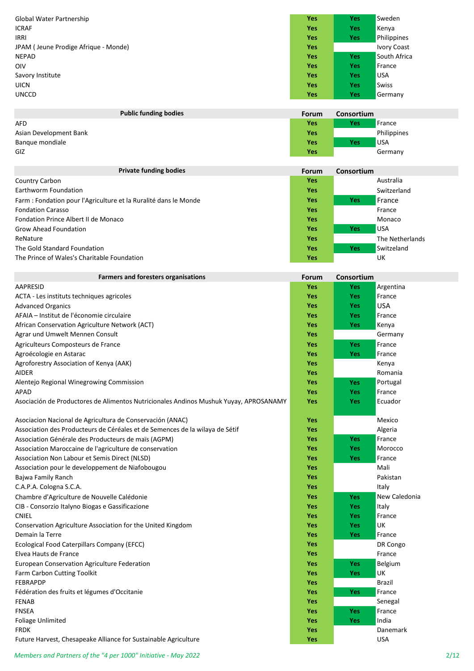| Global Water Partnership             | <b>Yes</b> | <b>Yes</b> | Sweden       |
|--------------------------------------|------------|------------|--------------|
| <b>ICRAF</b>                         | <b>Yes</b> | <b>Yes</b> | Kenya        |
| <b>IRRI</b>                          | <b>Yes</b> | <b>Yes</b> | Philippines  |
| JPAM (Jeune Prodige Afrique - Monde) | <b>Yes</b> |            | Ivory Coast  |
| NEPAD                                | <b>Yes</b> | <b>Yes</b> | South Africa |
| <b>OIV</b>                           | <b>Yes</b> | Yes        | France       |
| Savory Institute                     | <b>Yes</b> | Yes        | <b>USA</b>   |
| <b>UICN</b>                          | <b>Yes</b> | Yes        | <b>Swiss</b> |
| <b>UNCCD</b>                         | <b>Yes</b> | <b>Yes</b> | Germany      |
|                                      |            |            |              |

| <b>Public funding bodies</b> | Forum      | <b>Consortium</b> |             |
|------------------------------|------------|-------------------|-------------|
| <b>AFD</b>                   | Yes        | Yes               | France      |
| Asian Development Bank       | <b>Yes</b> |                   | Philippines |
| Bangue mondiale              | Yes        | Yes               | <b>USA</b>  |
| GIZ                          | Yes        |                   | Germany     |

| <b>Private funding bodies</b>                                    | <b>Forum</b> | Consortium |                 |
|------------------------------------------------------------------|--------------|------------|-----------------|
| Country Carbon                                                   | <b>Yes</b>   |            | Australia       |
| Earthworm Foundation                                             | <b>Yes</b>   |            | Switzerland     |
| Farm : Fondation pour l'Agriculture et la Ruralité dans le Monde | <b>Yes</b>   | <b>Yes</b> | <b>⊿France</b>  |
| <b>Fondation Carasso</b>                                         | <b>Yes</b>   |            | France          |
| Fondation Prince Albert II de Monaco                             | <b>Yes</b>   |            | Monaco          |
| <b>Grow Ahead Foundation</b>                                     | <b>Yes</b>   | Yes        | <b>USA</b>      |
| ReNature                                                         | <b>Yes</b>   |            | The Netherlands |
| The Gold Standard Foundation                                     | <b>Yes</b>   | <b>Yes</b> | Switzeland      |
| The Prince of Wales's Charitable Foundation                      | <b>Yes</b>   |            | UK              |

| <b>Farmers and foresters organisations</b>                                            | Forum      | Consortium |               |
|---------------------------------------------------------------------------------------|------------|------------|---------------|
| <b>AAPRESID</b>                                                                       | <b>Yes</b> | Yes        | Argentina     |
| ACTA - Les instituts techniques agricoles                                             | <b>Yes</b> | Yes        | France        |
| <b>Advanced Organics</b>                                                              | Yes        | Yes        | <b>USA</b>    |
| AFAIA - Institut de l'économie circulaire                                             | <b>Yes</b> | Yes        | France        |
| African Conservation Agriculture Network (ACT)                                        | <b>Yes</b> | <b>Yes</b> | Kenya         |
| Agrar und Umwelt Mennen Consult                                                       | <b>Yes</b> |            | Germany       |
| Agriculteurs Composteurs de France                                                    | <b>Yes</b> | <b>Yes</b> | France        |
| Agroécologie en Astarac                                                               | <b>Yes</b> | <b>Yes</b> | France        |
| Agroforestry Association of Kenya (AAK)                                               | <b>Yes</b> |            | Kenya         |
| AIDER                                                                                 | <b>Yes</b> |            | Romania       |
| Alentejo Regional Winegrowing Commission                                              | <b>Yes</b> | <b>Yes</b> | Portugal      |
| APAD                                                                                  | <b>Yes</b> | <b>Yes</b> | France        |
| Asociación de Productores de Alimentos Nutricionales Andinos Mushuk Yuyay, APROSANAMY | <b>Yes</b> | <b>Yes</b> | Ecuador       |
|                                                                                       |            |            |               |
| Asociacion Nacional de Agricultura de Conservación (ANAC)                             | <b>Yes</b> |            | Mexico        |
| Association des Producteurs de Céréales et de Semences de la wilaya de Sétif          | Yes        |            | Algeria       |
| Association Générale des Producteurs de maïs (AGPM)                                   | <b>Yes</b> | <b>Yes</b> | France        |
| Association Maroccaine de l'agriculture de conservation                               | <b>Yes</b> | Yes        | Morocco       |
| Association Non Labour et Semis Direct (NLSD)                                         | <b>Yes</b> | Yes        | France        |
| Association pour le developpement de Niafobougou                                      | <b>Yes</b> |            | Mali          |
| Bajwa Family Ranch                                                                    | <b>Yes</b> |            | Pakistan      |
| C.A.P.A. Cologna S.C.A.                                                               | <b>Yes</b> |            | Italy         |
| Chambre d'Agriculture de Nouvelle Calédonie                                           | Yes        | <b>Yes</b> | New Caledonia |
| CIB - Consorzio Italyno Biogas e Gassificazione                                       | <b>Yes</b> | Yes        | Italy         |
| <b>CNIEL</b>                                                                          | <b>Yes</b> | Yes        | France        |
| Conservation Agriculture Association for the United Kingdom                           | <b>Yes</b> | <b>Yes</b> | <b>UK</b>     |
| Demain la Terre                                                                       | <b>Yes</b> | Yes        | France        |
| Ecological Food Caterpillars Company (EFCC)                                           | <b>Yes</b> |            | DR Congo      |
| Elvea Hauts de France                                                                 | <b>Yes</b> |            | France        |
| European Conservation Agriculture Federation                                          | <b>Yes</b> | <b>Yes</b> | Belgium       |
| Farm Carbon Cutting Toolkit                                                           | <b>Yes</b> | <b>Yes</b> | UK            |
| <b>FEBRAPDP</b>                                                                       | <b>Yes</b> |            | Brazil        |
| Fédération des fruits et légumes d'Occitanie                                          | <b>Yes</b> | <b>Yes</b> | France        |
| <b>FENAB</b>                                                                          | <b>Yes</b> |            | Senegal       |
| <b>FNSEA</b>                                                                          | <b>Yes</b> | Yes        | France        |
| Foliage Unlimited                                                                     | <b>Yes</b> | Yes        | India         |
| <b>FRDK</b>                                                                           | Yes        |            | Danemark      |
| Future Harvest, Chesapeake Alliance for Sustainable Agriculture                       | <b>Yes</b> |            | <b>USA</b>    |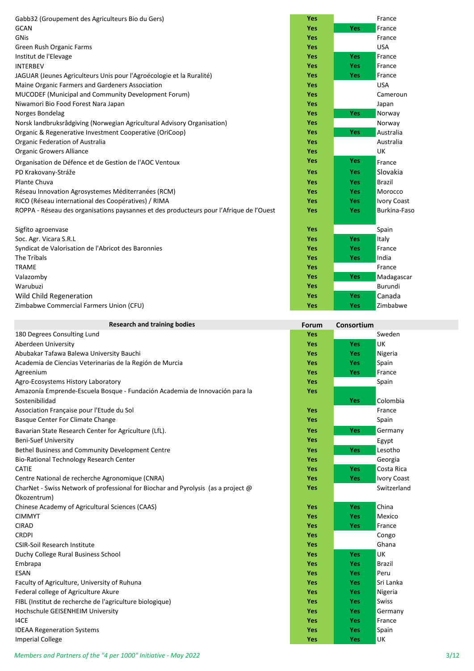| Gabb32 (Groupement des Agriculteurs Bio du Gers)                                        | <b>Yes</b> |            | France        |
|-----------------------------------------------------------------------------------------|------------|------------|---------------|
| <b>GCAN</b>                                                                             | <b>Yes</b> | Yes        | France        |
| GNis                                                                                    | <b>Yes</b> |            | France        |
| Green Rush Organic Farms                                                                | <b>Yes</b> |            | <b>USA</b>    |
| Institut de l'Elevage                                                                   | <b>Yes</b> | <b>Yes</b> | France        |
| <b>INTERBEV</b>                                                                         | <b>Yes</b> | <b>Yes</b> | France        |
| JAGUAR (Jeunes Agriculteurs Unis pour l'Agroécologie et la Ruralité)                    | <b>Yes</b> | <b>Yes</b> | France        |
| Maine Organic Farmers and Gardeners Association                                         | <b>Yes</b> |            | <b>USA</b>    |
| MUCODEF (Municipal and Community Development Forum)                                     | <b>Yes</b> |            | Cameroun      |
| Niwamori Bio Food Forest Nara Japan                                                     | <b>Yes</b> |            | Japan         |
| Norges Bondelag                                                                         | <b>Yes</b> | Yes        | Norway        |
| Norsk landbruksrådgiving (Norwegian Agricultural Advisory Organisation)                 | <b>Yes</b> |            | Norway        |
| Organic & Regenerative Investment Cooperative (OriCoop)                                 | <b>Yes</b> | Yes        | Australia     |
| Organic Federation of Australia                                                         | <b>Yes</b> |            | Australia     |
| <b>Organic Growers Alliance</b>                                                         | <b>Yes</b> |            | UK            |
| Organisation de Défence et de Gestion de l'AOC Ventoux                                  | <b>Yes</b> | <b>Yes</b> | France        |
| PD Krakovany-Stráže                                                                     | <b>Yes</b> | Yes        | Slovakia      |
| Plante Chuva                                                                            | <b>Yes</b> | <b>Yes</b> | <b>Brazil</b> |
| Réseau Innovation Agrosystemes Méditerranées (RCM)                                      | <b>Yes</b> | <b>Yes</b> | Morocco       |
| RICO (Réseau international des Coopératives) / RIMA                                     | <b>Yes</b> | <b>Yes</b> | Ivory Coast   |
| ROPPA - Réseau des organisations paysannes et des producteurs pour l'Afrique de l'Ouest | <b>Yes</b> | Yes        | Burkina-Fasc  |
| Sigfito agroenvase                                                                      | <b>Yes</b> |            | Spain         |
| Soc. Agr. Vicara S.R.L                                                                  | <b>Yes</b> | <b>Yes</b> | Italy         |
| Syndicat de Valorisation de l'Abricot des Baronnies                                     | <b>Yes</b> | <b>Yes</b> | France        |
| The Tribals                                                                             | <b>Yes</b> | <b>Yes</b> | India         |
| <b>TRAME</b>                                                                            | <b>Yes</b> |            | France        |
| Valazomby                                                                               | Yes        | Yes        | Madagascar    |
| 10122                                                                                   | $V - -$    |            | D             |

Warubuzi **Yes** Burundi **Wild Child Regeneration Zimbabwe Commercial Farmers Union (CFU)** 

| <b>Research and training bodies</b>                                               | Forum      | Consortium |                    |
|-----------------------------------------------------------------------------------|------------|------------|--------------------|
| 180 Degrees Consulting Lund                                                       | <b>Yes</b> |            | Sweden             |
| Aberdeen University                                                               | <b>Yes</b> | Yes        | UK                 |
| Abubakar Tafawa Balewa University Bauchi                                          | <b>Yes</b> | <b>Yes</b> | Nigeria            |
| Academia de Ciencias Veterinarias de la Región de Murcia                          | <b>Yes</b> | Yes        | Spain              |
| Agreenium                                                                         | <b>Yes</b> | <b>Yes</b> | France             |
| Agro-Ecosystems History Laboratory                                                | Yes        |            | Spain              |
| Amazonía Emprende-Escuela Bosque - Fundación Academia de Innovación para la       | <b>Yes</b> |            |                    |
| Sostenibilidad                                                                    |            | Yes        | Colombia           |
| Association Française pour l'Etude du Sol                                         | <b>Yes</b> |            | France             |
| Basque Center For Climate Change                                                  | <b>Yes</b> |            | Spain              |
| Bavarian State Research Center for Agriculture (LfL).                             | <b>Yes</b> | Yes        | Germany            |
| <b>Beni-Suef University</b>                                                       | <b>Yes</b> |            | Egypt              |
| Bethel Business and Community Development Centre                                  | <b>Yes</b> | Yes        | Lesotho            |
| Bio-Rational Technology Research Center                                           | <b>Yes</b> |            | Georgia            |
| CATIE                                                                             | <b>Yes</b> | <b>Yes</b> | Costa Rica         |
| Centre National de recherche Agronomique (CNRA)                                   | <b>Yes</b> | <b>Yes</b> | <b>Ivory Coast</b> |
| CharNet - Swiss Network of professional for Biochar and Pyrolysis (as a project @ | <b>Yes</b> |            | Switzerland        |
| Ökozentrum)                                                                       |            |            |                    |
| Chinese Academy of Agricultural Sciences (CAAS)                                   | <b>Yes</b> | <b>Yes</b> | China              |
| <b>CIMMYT</b>                                                                     | <b>Yes</b> | Yes        | Mexico             |
| <b>CIRAD</b>                                                                      | <b>Yes</b> | <b>Yes</b> | France             |
| <b>CRDPI</b>                                                                      | <b>Yes</b> |            | Congo              |
| <b>CSIR-Soil Research Institute</b>                                               | <b>Yes</b> |            | Ghana              |
| Duchy College Rural Business School                                               | <b>Yes</b> | <b>Yes</b> | UK                 |
| Embrapa                                                                           | <b>Yes</b> | <b>Yes</b> | <b>Brazil</b>      |
| <b>ESAN</b>                                                                       | <b>Yes</b> | <b>Yes</b> | Peru               |
| Faculty of Agriculture, University of Ruhuna                                      | <b>Yes</b> | Yes        | Sri Lanka          |
| Federal college of Agriculture Akure                                              | <b>Yes</b> | Yes        | Nigeria            |
| FIBL (Institut de recherche de l'agriculture biologique)                          | <b>Yes</b> | Yes        | Swiss              |
| Hochschule GEISENHEIM University                                                  | <b>Yes</b> | <b>Yes</b> | Germany            |
| I4CE                                                                              | <b>Yes</b> | <b>Yes</b> | France             |
| <b>IDEAA Regeneration Systems</b>                                                 | <b>Yes</b> | Yes        | Spain<br>UK        |
| <b>Imperial College</b>                                                           | Yes        | Yes        |                    |

| Yes |     | France             |
|-----|-----|--------------------|
| Yes | Yes | France             |
| Yes |     | France             |
| Yes |     | USA                |
| Yes | Yes | France             |
| Yes | Yes | France             |
| Yes | Yes | France             |
| Yes |     | <b>USA</b>         |
| Yes |     | Cameroun           |
| Yes |     | Japan              |
| Yes | Yes | Norway             |
| Yes |     | Norway             |
| Yes | Yes | Australia          |
| Yes |     | Australia          |
| Yes |     | UK                 |
| Yes | Yes | France             |
| Yes | Yes | Slovakia           |
| Yes | Yes | <b>Brazil</b>      |
| Yes | Yes | Morocco            |
| Yes | Yes | <b>Ivory Coast</b> |
| Yes | Yes | Burkina-Faso       |
| Yes |     | Spain              |
| Yes | Yes | Italy              |
| Yes | Yes | France             |
| Yes | Yes | India              |
| Yes |     | France             |
| Yes | Yes | Madagascar         |
| Yes |     | Burundi            |
| Yes | Yes | Canada             |
| Yes | Yes | Zimbabwe           |

| Forum | Consortium |                    |
|-------|------------|--------------------|
| Yes   |            | Sweden             |
| Yes   | Yes        | UK                 |
| Yes   | Yes        | Nigeria            |
| Yes   | Yes        | Spain              |
| Yes   | Yes        | France             |
| Yes   |            | Spain              |
| Yes   |            |                    |
|       | Yes        | Colombia           |
| Yes   |            | France             |
| Yes   |            | Spain              |
| Yes   | Yes        | Germany            |
| Yes   |            | Egypt              |
| Yes   | Yes        | Lesotho            |
| Yes   |            | Georgia            |
| Yes   | Yes        | Costa Rica         |
| Yes   | Yes        | <b>Ivory Coast</b> |
| Yes   |            | Switzerland        |
|       |            |                    |
| Yes   | Yes        | China              |
| Yes   | Yes        | Mexico             |
| Yes   | Yes        | France             |
| Yes   |            | Congo              |
| Yes   |            | Ghana              |
| Yes   | Yes        | UK                 |
| Yes   | Yes        | Brazil             |
| Yes   | Yes        | Peru               |
| Yes   | Yes        | Sri Lanka          |
| Yes   | Yes        | Nigeria            |
| Yes   | Yes        | Swiss              |
| Yes   | Yes        | Germany            |
| Yes   | Yes        | France             |
| Yes   | Yes        | Spain              |
| Yes   | Yes        | UK                 |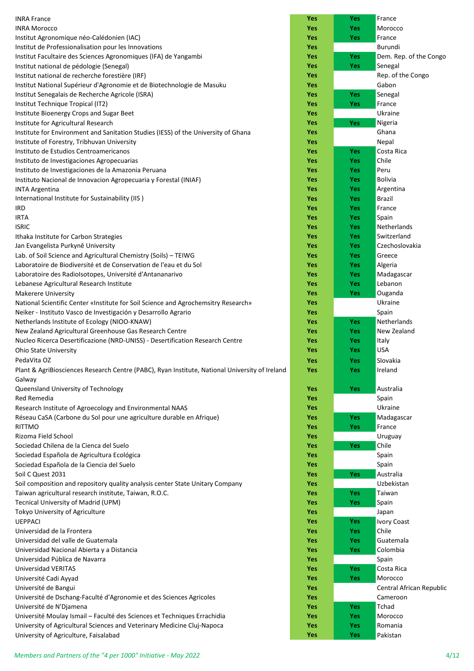|                                                                                                                                         | Yes        | <b>Yes</b>               | France                   |
|-----------------------------------------------------------------------------------------------------------------------------------------|------------|--------------------------|--------------------------|
| <b>INRA France</b><br><b>INRA Morocco</b>                                                                                               | Yes        | <b>Yes</b>               | Morocco                  |
| Institut Agronomique néo-Calédonien (IAC)                                                                                               | Yes        | <b>Yes</b>               | France                   |
| Institut de Professionalisation pour les Innovations                                                                                    | Yes        |                          | Burundi                  |
| Institut Facultaire des Sciences Agronomiques (IFA) de Yangambi                                                                         | Yes        | <b>Yes</b>               | Dem. Rep. of the Congo   |
| Institut national de pédologie (Senegal)                                                                                                | Yes        | <b>Yes</b>               | Senegal                  |
| Institut national de recherche forestière (IRF)                                                                                         | Yes        |                          | Rep. of the Congo        |
| Institut National Supérieur d'Agronomie et de Biotechnologie de Masuku                                                                  | Yes        |                          | Gabon                    |
| Institut Senegalais de Recherche Agricole (ISRA)                                                                                        | Yes        | <b>Yes</b>               | Senegal                  |
| Institut Technique Tropical (IT2)                                                                                                       | Yes        | <b>Yes</b>               | France                   |
| Institute Bioenergy Crops and Sugar Beet                                                                                                | Yes        |                          | Ukraine                  |
| Institute for Agricultural Research                                                                                                     | Yes        | Yes                      | Nigeria                  |
| Institute for Environment and Sanitation Studies (IESS) of the University of Ghana                                                      | Yes        |                          | Ghana                    |
| Institute of Forestry, Tribhuvan University                                                                                             | Yes        |                          | Nepal                    |
| Instituto de Estudios Centroamericanos                                                                                                  | Yes        | <b>Yes</b>               | Costa Rica               |
| Instituto de Investigaciones Agropecuarias                                                                                              | Yes        | <b>Yes</b>               | Chile                    |
| Instituto de Investigaciones de la Amazonia Peruana                                                                                     | Yes        | <b>Yes</b>               | Peru                     |
| Instituto Nacional de Innovacion Agropecuaria y Forestal (INIAF)                                                                        | Yes        | <b>Yes</b>               | <b>Bolivia</b>           |
| <b>INTA Argentina</b>                                                                                                                   | Yes        | <b>Yes</b>               | Argentina                |
| International Institute for Sustainability (IIS)                                                                                        | Yes        | <b>Yes</b>               | <b>Brazil</b>            |
| IRD                                                                                                                                     | Yes        | <b>Yes</b>               | France                   |
| <b>IRTA</b>                                                                                                                             | Yes        | <b>Yes</b>               | Spain                    |
| <b>ISRIC</b>                                                                                                                            | Yes        | <b>Yes</b>               | Netherlands              |
| Ithaka Institute for Carbon Strategies                                                                                                  | Yes        | <b>Yes</b>               | Switzerland              |
| Jan Evangelista Purkyně University                                                                                                      | Yes        | <b>Yes</b>               | Czechoslovakia           |
| Lab. of Soil Science and Agricultural Chemistry (Soils) - TEIWG                                                                         | Yes        | <b>Yes</b>               | Greece                   |
| Laboratoire de Biodiversité et de Conservation de l'eau et du Sol                                                                       | Yes<br>Yes | <b>Yes</b><br><b>Yes</b> | Algeria<br>Madagascar    |
| Laboratoire des Radiolsotopes, Université d'Antananarivo<br>Lebanese Agricultural Research Institute                                    | Yes        | <b>Yes</b>               | Lebanon                  |
| <b>Makerere University</b>                                                                                                              | Yes        | <b>Yes</b>               | Ouganda                  |
| National Scientific Center «Institute for Soil Science and Agrochemsitry Research»                                                      | Yes        |                          | Ukraine                  |
| Neiker - Instituto Vasco de Investigación y Desarrollo Agrario                                                                          | Yes        |                          | Spain                    |
| Netherlands Institute of Ecology (NIOO-KNAW)                                                                                            | Yes        | <b>Yes</b>               | Netherlands              |
| New Zealand Agricultural Greenhouse Gas Research Centre                                                                                 | Yes        | <b>Yes</b>               | New Zealand              |
| Nucleo Ricerca Desertificazione (NRD-UNISS) - Desertification Research Centre                                                           | Yes        | <b>Yes</b>               | Italy                    |
| <b>Ohio State University</b>                                                                                                            | Yes        | <b>Yes</b>               | <b>USA</b>               |
| PedaVita OZ                                                                                                                             | Yes        | <b>Yes</b>               | Slovakia                 |
| Plant & AgriBiosciences Research Centre (PABC), Ryan Institute, National University of Ireland                                          | Yes        | <b>Yes</b>               | Ireland                  |
| Galway                                                                                                                                  |            |                          |                          |
| Queensland University of Technology                                                                                                     | <b>Yes</b> | <b>Yes</b>               | Australia                |
| Red Remedia                                                                                                                             | Yes        |                          | Spain                    |
| Research Institute of Agroecology and Environmental NAAS                                                                                | Yes        |                          | Ukraine                  |
| Réseau CaSA (Carbone du Sol pour une agriculture durable en Afrique)                                                                    | Yes        | <b>Yes</b>               | Madagascar               |
| <b>RITTMO</b>                                                                                                                           | Yes        | <b>Yes</b>               | France                   |
| Rizoma Field School                                                                                                                     | <b>Yes</b> |                          | Uruguay                  |
| Sociedad Chilena de la Cienca del Suelo                                                                                                 | Yes        | Yes                      | Chile                    |
| Sociedad Española de Agricultura Ecológica                                                                                              | Yes        |                          | Spain                    |
| Sociedad Española de la Ciencia del Suelo                                                                                               | Yes        |                          | Spain                    |
| Soil C Quest 2031                                                                                                                       | Yes        | Yes                      | Australia                |
| Soil composition and repository quality analysis center State Unitary Company<br>Taiwan agricultural research institute, Taiwan, R.O.C. | Yes<br>Yes | <b>Yes</b>               | Uzbekistan<br>Taiwan     |
| Tecnical University of Madrid (UPM)                                                                                                     | Yes        | <b>Yes</b>               | Spain                    |
| Tokyo University of Agriculture                                                                                                         | Yes        |                          | Japan                    |
| <b>UEPPACI</b>                                                                                                                          | Yes        | <b>Yes</b>               | <b>Ivory Coast</b>       |
| Universidad de la Frontera                                                                                                              | Yes        | <b>Yes</b>               | Chile                    |
| Universidad del valle de Guatemala                                                                                                      | Yes        | <b>Yes</b>               | Guatemala                |
| Universidad Nacional Abierta y a Distancia                                                                                              | Yes        | <b>Yes</b>               | Colombia                 |
| Universidad Pública de Navarra                                                                                                          | Yes        |                          | Spain                    |
| Universidad VERITAS                                                                                                                     | Yes        | <b>Yes</b>               | Costa Rica               |
| Université Cadi Ayyad                                                                                                                   | Yes        | <b>Yes</b>               | Morocco                  |
| Université de Bangui                                                                                                                    | Yes        |                          | Central African Republic |
| Université de Dschang-Faculté d'Agronomie et des Sciences Agricoles                                                                     | Yes        |                          | Cameroon                 |
| Université de N'Djamena                                                                                                                 | Yes        | <b>Yes</b>               | Tchad                    |
| Université Moulay Ismail - Faculté des Sciences et Techniques Errachidia                                                                | Yes        | <b>Yes</b>               | Morocco                  |
| University of Agricultural Sciences and Veterinary Medicine Cluj-Napoca                                                                 | Yes        | <b>Yes</b>               | Romania                  |
| University of Agriculture, Faisalabad                                                                                                   | Yes        | <b>Yes</b>               | Pakistan                 |

| Yes | Yes | France                     |
|-----|-----|----------------------------|
| Yes | Yes | Morocco                    |
| Yes | Yes | France                     |
| Yes |     | Burundi                    |
| Yes | Yes | Dem. Rep. of the Congo     |
| Yes | Yes | Senegal                    |
| Yes |     | Rep. of the Congo          |
| Yes |     | Gabon                      |
| Yes | Yes | Senegal                    |
| Yes | Yes | France                     |
| Yes |     | Ukraine                    |
|     |     |                            |
| Yes | Yes | Nigeria                    |
| Yes |     | Ghana                      |
| Yes |     | Nepal                      |
| Yes | Yes | Costa Rica                 |
| Yes | Yes | Chile                      |
| Yes | Yes | Peru                       |
| Yes | Yes | Bolivia                    |
| Yes | Yes | Argentina                  |
| Yes | Yes | Brazil                     |
| Yes | Yes | France                     |
| Yes | Yes | Spain                      |
| Yes | Yes | Netherlands                |
| Yes | Yes | Switzerland                |
| Yes | Yes | Czechoslovakia             |
| Yes | Yes | Greece                     |
| Yes | Yes | Algeria                    |
| Yes | Yes | Madagascar                 |
| Yes | Yes | Lebanon                    |
| Yes | Yes | Ouganda                    |
| Yes |     | Ukraine                    |
| Yes |     |                            |
|     |     | Spain                      |
| Yes | Yes | Netherlands<br>New Zealand |
| Yes | Yes |                            |
| Yes | Yes | Italy                      |
| Yes | Yes | USA                        |
| Yes | Yes | Slovakia                   |
| Yes | Yes | Ireland                    |
|     |     |                            |
| Yes | Yes | Australia                  |
| Yes |     | Spain                      |
| Yes |     | Ukraine                    |
| Yes | Yes | Madagascar                 |
| Yes | Yes | France                     |
| Yes |     | Uruguay                    |
| Yes | Yes | Chile                      |
| Yes |     | Spain                      |
| Yes |     | Spain                      |
| Yes | Yes | Australia                  |
| Yes |     | Uzbekistan                 |
| Yes | Yes | Taiwan                     |
| Yes | Yes | Spain                      |
| Yes |     | Japan                      |
| Yes | Yes | <b>Ivory Coast</b>         |
| Yes | Yes | Chile                      |
| Yes | Yes | Guatemala                  |
| Yes | Yes | Colombia                   |
| Yes |     | Spain                      |
|     |     |                            |
| Yes | Yes | Costa Rica                 |
| Yes | Yes | Morocco                    |
| Yes |     | Central African Republic   |
| Yes |     | Cameroon                   |
| Yes | Yes | Tchad                      |
| Yes | Yes | Morocco                    |
| Yes | Yes | Romania                    |
| Yes | Yes | Pakistan                   |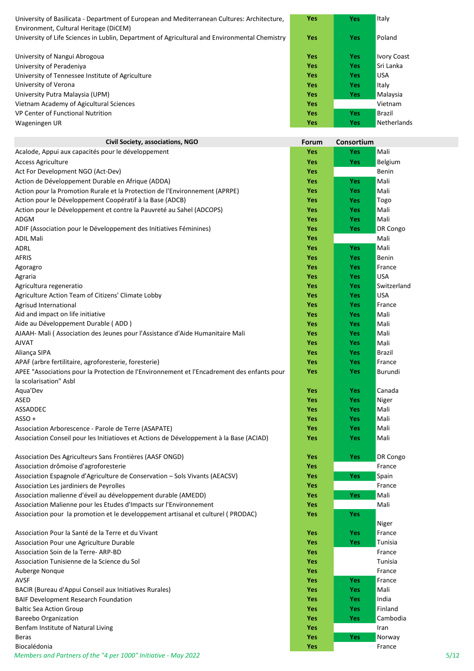| University of Basilicata - Department of European and Mediterranean Cultures: Architecture,<br>Environment, Cultural Heritage (DiCEM) | <b>Yes</b> | <b>Yes</b> | Italy              |
|---------------------------------------------------------------------------------------------------------------------------------------|------------|------------|--------------------|
| University of Life Sciences in Lublin, Department of Agricultural and Environmental Chemistry                                         | <b>Yes</b> | <b>Yes</b> | Poland             |
| University of Nangui Abrogoua                                                                                                         | <b>Yes</b> | <b>Yes</b> | <b>Ivory Coast</b> |
| University of Peradeniya                                                                                                              | <b>Yes</b> | <b>Yes</b> | Sri Lanka          |
| University of Tennessee Institute of Agriculture                                                                                      | <b>Yes</b> | <b>Yes</b> | <b>USA</b>         |
| University of Verona                                                                                                                  | <b>Yes</b> | <b>Yes</b> | Italy              |
| University Putra Malaysia (UPM)                                                                                                       | <b>Yes</b> | <b>Yes</b> | Malaysia           |
| Vietnam Academy of Agicultural Sciences                                                                                               | <b>Yes</b> |            | Vietnam            |
| VP Center of Functional Nutrition                                                                                                     | <b>Yes</b> | <b>Yes</b> | <b>Brazil</b>      |
| Wageningen UR                                                                                                                         | <b>Yes</b> | <b>Yes</b> | <b>Netherlands</b> |

| Civil Society, associations, NGO                                                           | Forum      | Consortium |             |
|--------------------------------------------------------------------------------------------|------------|------------|-------------|
| Acalode, Appui aux capacités pour le développement                                         | <b>Yes</b> | <b>Yes</b> | Mali        |
| <b>Access Agriculture</b>                                                                  | <b>Yes</b> | Yes        | Belgium     |
| Act For Development NGO (Act-Dev)                                                          | <b>Yes</b> |            | Benin       |
| Action de Développement Durable en Afrique (ADDA)                                          | <b>Yes</b> | Yes        | Mali        |
| Action pour la Promotion Rurale et la Protection de l'Environnement (APRPE)                | <b>Yes</b> | <b>Yes</b> | Mali        |
| Action pour le Développement Coopératif à la Base (ADCB)                                   | <b>Yes</b> | Yes        | Togo        |
| Action pour le Développement et contre la Pauvreté au Sahel (ADCOPS)                       | <b>Yes</b> | <b>Yes</b> | Mali        |
| ADGM                                                                                       | <b>Yes</b> | Yes        | Mali        |
| ADIF (Association pour le Développement des Initiatives Féminines)                         | Yes        | Yes        | DR Congo    |
| <b>ADIL Mali</b>                                                                           | <b>Yes</b> |            | Mali        |
| ADRL                                                                                       | <b>Yes</b> | Yes        | Mali        |
| <b>AFRIS</b>                                                                               | <b>Yes</b> | <b>Yes</b> | Benin       |
| Agoragro                                                                                   | <b>Yes</b> | Yes        | France      |
| Agraria                                                                                    | <b>Yes</b> | Yes        | <b>USA</b>  |
| Agricultura regeneratio                                                                    | <b>Yes</b> | Yes        | Switzerland |
| Agriculture Action Team of Citizens' Climate Lobby                                         | <b>Yes</b> | <b>Yes</b> | USA         |
| Agrisud International                                                                      | <b>Yes</b> | <b>Yes</b> | France      |
| Aid and impact on life initiative                                                          | <b>Yes</b> | <b>Yes</b> | Mali        |
| Aide au Développement Durable (ADD)                                                        | <b>Yes</b> | <b>Yes</b> | Mali        |
| AJAAH- Mali (Association des Jeunes pour l'Assistance d'Aide Humanitaire Mali              | <b>Yes</b> | <b>Yes</b> | Mali        |
| <b>AJVAT</b>                                                                               | <b>Yes</b> | <b>Yes</b> | Mali        |
| Aliança SIPA                                                                               | <b>Yes</b> | Yes        | Brazil      |
| APAF (arbre fertilitaire, agroforesterie, foresterie)                                      | <b>Yes</b> | Yes        | France      |
| APEE "Associations pour la Protection de l'Environnement et l'Encadrement des enfants pour | <b>Yes</b> | <b>Yes</b> | Burundi     |
| la scolarisation" Asbl                                                                     |            |            |             |
| Aqua'Dev                                                                                   | <b>Yes</b> | Yes        | Canada      |
| ASED                                                                                       | <b>Yes</b> | <b>Yes</b> | Niger       |
| ASSADDEC                                                                                   | <b>Yes</b> | <b>Yes</b> | Mali        |
| ASSO +                                                                                     | <b>Yes</b> | Yes        | Mali        |
| Association Arborescence - Parole de Terre (ASAPATE)                                       | <b>Yes</b> | Yes        | Mali        |
| Association Conseil pour les Initiatioves et Actions de Développement à la Base (ACIAD)    | <b>Yes</b> | Yes        | Mali        |
|                                                                                            |            |            |             |
| Association Des Agriculteurs Sans Frontières (AASF ONGD)                                   | Yes        | Yes        | DR Congo    |
| Association drômoise d'agroforesterie                                                      | Yes        |            | France      |
| Association Espagnole d'Agriculture de Conservation - Sols Vivants (AEACSV)                | Yes        | Yes        | Spain       |
| Association Les jardiniers de Peyrolles                                                    | <b>Yes</b> |            | France      |
| Association malienne d'éveil au développement durable (AMEDD)                              | <b>Yes</b> | Yes        | Mali        |
| Association Malienne pour les Etudes d'Impacts sur l'Environnement                         | <b>Yes</b> |            | Mali        |
| Association pour la promotion et le developpement artisanal et culturel (PRODAC)           | Yes        | <b>Yes</b> |             |
|                                                                                            |            |            | Niger       |
| Association Pour la Santé de la Terre et du Vivant                                         | <b>Yes</b> | <b>Yes</b> | France      |
| Association Pour une Agriculture Durable                                                   | <b>Yes</b> | Yes        | Tunisia     |
| Association Soin de la Terre-ARP-BD                                                        | <b>Yes</b> |            | France      |
| Association Tunisienne de la Science du Sol                                                | <b>Yes</b> |            | Tunisia     |
| Auberge Nonque                                                                             | <b>Yes</b> |            | France      |
| <b>AVSF</b>                                                                                | Yes        | <b>Yes</b> | France      |
| BACIR (Bureau d'Appui Conseil aux Initiatives Rurales)                                     | Yes        | <b>Yes</b> | Mali        |
| <b>BAIF Development Research Foundation</b>                                                | <b>Yes</b> | <b>Yes</b> | India       |
| <b>Baltic Sea Action Group</b>                                                             | Yes        | <b>Yes</b> | Finland     |
| <b>Bareebo Organization</b>                                                                | Yes        | Yes        | Cambodia    |
| Benfam Institute of Natural Living                                                         | Yes        |            | Iran        |
| <b>Beras</b>                                                                               | Yes        | Yes        | Norway      |
| Biocalédonia                                                                               | Yes        |            | France      |
| Members and Partners of the "4 per 1000" Initiative - May 2022                             |            |            | 5/12        |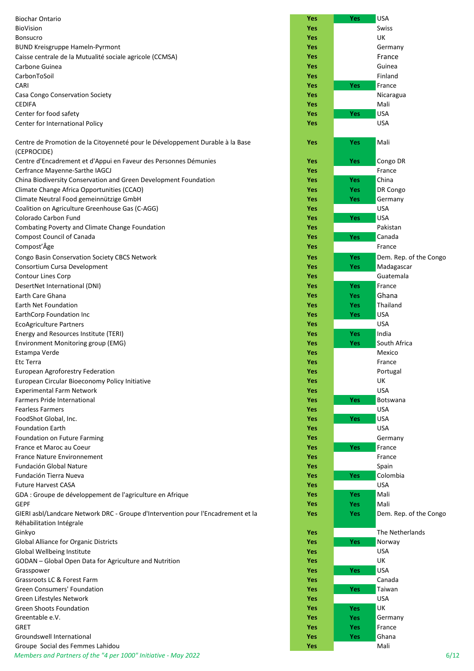| <b>Biochar Ontario</b>                                                                       | <b>Yes</b>               | <b>Yes</b>               | <b>USA</b>               |
|----------------------------------------------------------------------------------------------|--------------------------|--------------------------|--------------------------|
| BioVision                                                                                    | <b>Yes</b>               |                          | Swiss                    |
| <b>Bonsucro</b>                                                                              | Yes                      |                          | UK                       |
| <b>BUND Kreisgruppe Hameln-Pyrmont</b>                                                       | Yes                      |                          | Germany                  |
| Caisse centrale de la Mutualité sociale agricole (CCMSA)                                     | <b>Yes</b>               |                          | France                   |
| Carbone Guinea                                                                               | Yes                      |                          | Guinea                   |
| CarbonToSoil                                                                                 | Yes                      |                          | Finland                  |
| CARI                                                                                         | Yes                      | <b>Yes</b>               | France                   |
| Casa Congo Conservation Society                                                              | <b>Yes</b>               |                          | Nicaragua                |
| <b>CEDIFA</b>                                                                                | <b>Yes</b>               |                          | Mali                     |
| Center for food safety<br>Center for International Policy                                    | Yes<br>Yes               | <b>Yes</b>               | <b>USA</b><br><b>USA</b> |
|                                                                                              |                          |                          |                          |
| Centre de Promotion de la Citoyenneté pour le Développement Durable à la Base<br>(CEPROCIDE) | Yes                      | <b>Yes</b>               | Mali                     |
| Centre d'Encadrement et d'Appui en Faveur des Personnes Démunies                             | Yes                      | <b>Yes</b>               | Congo DR                 |
| Cerfrance Mayenne-Sarthe IAGCJ                                                               | Yes                      |                          | France                   |
| China Biodiversity Conservation and Green Development Foundation                             | Yes                      | <b>Yes</b>               | China                    |
| Climate Change Africa Opportunities (CCAO)                                                   | Yes                      | <b>Yes</b>               | DR Congo                 |
| Climate Neutral Food gemeinnützige GmbH                                                      | Yes                      | <b>Yes</b>               | Germany                  |
| Coalition on Agriculture Greenhouse Gas (C-AGG)                                              | <b>Yes</b>               |                          | <b>USA</b>               |
| Colorado Carbon Fund                                                                         | <b>Yes</b>               | <b>Yes</b>               | <b>USA</b>               |
| Combating Poverty and Climate Change Foundation                                              | Yes                      |                          | Pakistan                 |
| <b>Compost Council of Canada</b>                                                             | Yes                      | Yes                      | Canada                   |
| Compost'Âge                                                                                  | <b>Yes</b>               |                          | France                   |
| Congo Basin Conservation Society CBCS Network                                                | Yes                      | <b>Yes</b>               | Dem. Rep. of the Congo   |
| Consortium Cursa Development                                                                 | Yes                      | <b>Yes</b>               | Madagascar               |
| Contour Lines Corp                                                                           | <b>Yes</b><br>Yes        |                          | Guatemala<br>France      |
| DesertNet International (DNI)<br>Earth Care Ghana                                            | <b>Yes</b>               | <b>Yes</b><br><b>Yes</b> | Ghana                    |
| Earth Net Foundation                                                                         | Yes                      | <b>Yes</b>               | Thailand                 |
| EarthCorp Foundation Inc                                                                     | Yes                      | <b>Yes</b>               | <b>USA</b>               |
| <b>EcoAgriculture Partners</b>                                                               | <b>Yes</b>               |                          | <b>USA</b>               |
| Energy and Resources Institute (TERI)                                                        | <b>Yes</b>               | <b>Yes</b>               | India                    |
| Environment Monitoring group (EMG)                                                           | Yes                      | <b>Yes</b>               | South Africa             |
| Estampa Verde                                                                                | Yes                      |                          | Mexico                   |
| Etc Terra                                                                                    | Yes                      |                          | France                   |
| <b>European Agroforestry Federation</b>                                                      | Yes                      |                          | Portugal                 |
| European Circular Bioeconomy Policy Initiative                                               | <b>Yes</b>               |                          | UK                       |
| <b>Experimental Farm Network</b>                                                             | Yes                      |                          | <b>USA</b>               |
| <b>Farmers Pride International</b>                                                           | Yes                      | <b>Yes</b>               | Botswana                 |
| <b>Fearless Farmers</b>                                                                      | <b>Yes</b>               |                          | <b>USA</b>               |
| FoodShot Global, Inc.                                                                        | Yes                      | <b>Yes</b>               | <b>USA</b>               |
| <b>Foundation Earth</b>                                                                      | <b>Yes</b>               |                          | <b>USA</b>               |
| Foundation on Future Farming                                                                 | <b>Yes</b>               |                          | Germany                  |
| France et Maroc au Coeur                                                                     | <b>Yes</b>               | Yes                      | France                   |
| <b>France Nature Environnement</b><br>Fundación Global Nature                                | <b>Yes</b><br><b>Yes</b> |                          | France                   |
| Fundación Tierra Nueva                                                                       | <b>Yes</b>               | Yes                      | Spain<br>Colombia        |
| <b>Future Harvest CASA</b>                                                                   | <b>Yes</b>               |                          | <b>USA</b>               |
| GDA : Groupe de développement de l'agriculture en Afrique                                    | Yes                      | <b>Yes</b>               | Mali                     |
| GEPF                                                                                         | <b>Yes</b>               | <b>Yes</b>               | Mali                     |
| GIERI asbl/Landcare Network DRC - Groupe d'Intervention pour l'Encadrement et la             | Yes                      | <b>Yes</b>               | Dem. Rep. of the Congo   |
| Réhabilitation Intégrale<br>Ginkyo                                                           | Yes                      |                          | The Netherlands          |
| Global Alliance for Organic Districts                                                        | <b>Yes</b>               | Yes                      | Norway                   |
| Global Wellbeing Institute                                                                   | <b>Yes</b>               |                          | <b>USA</b>               |
| GODAN - Global Open Data for Agriculture and Nutrition                                       | Yes                      |                          | UK                       |
| Grasspower                                                                                   | <b>Yes</b>               | Yes                      | <b>USA</b>               |
| Grassroots LC & Forest Farm                                                                  | <b>Yes</b>               |                          | Canada                   |
| <b>Green Consumers' Foundation</b>                                                           | Yes                      | Yes                      | Taiwan                   |
| Green Lifestyles Network                                                                     | <b>Yes</b>               |                          | <b>USA</b>               |
| <b>Green Shoots Foundation</b>                                                               | Yes                      | <b>Yes</b>               | UK                       |
| Greentable e.V.                                                                              | Yes                      | <b>Yes</b>               | Germany                  |
| GRET                                                                                         | Yes                      | <b>Yes</b>               | France                   |
| Groundswell International                                                                    | <b>Yes</b>               | <b>Yes</b>               | Ghana                    |
| Groupe Social des Femmes Lahidou                                                             | Yes                      |                          | Mali                     |

| <b>Biochar Ontario</b>                                                           | Yes        | Yes        | <b>USA</b>             |
|----------------------------------------------------------------------------------|------------|------------|------------------------|
| <b>BioVision</b>                                                                 | <b>Yes</b> |            | Swiss                  |
| <b>Bonsucro</b>                                                                  | <b>Yes</b> |            | UK                     |
| <b>BUND Kreisgruppe Hameln-Pyrmont</b>                                           | Yes        |            | Germany                |
| Caisse centrale de la Mutualité sociale agricole (CCMSA)                         | Yes        |            | France                 |
| Carbone Guinea                                                                   | <b>Yes</b> |            | Guinea                 |
| CarbonToSoil                                                                     | <b>Yes</b> |            | Finland                |
| CARI                                                                             | <b>Yes</b> | <b>Yes</b> | France                 |
| Casa Congo Conservation Society                                                  | Yes        |            | Nicaragua              |
| <b>CEDIFA</b>                                                                    | Yes        |            | Mali                   |
| Center for food safety                                                           | Yes        | Yes        | <b>USA</b>             |
| Center for International Policy                                                  | Yes        |            | <b>USA</b>             |
|                                                                                  |            |            |                        |
| Centre de Promotion de la Citoyenneté pour le Développement Durable à la Base    | Yes        | <b>Yes</b> | Mali                   |
| (CEPROCIDE)                                                                      |            |            |                        |
| Centre d'Encadrement et d'Appui en Faveur des Personnes Démunies                 | <b>Yes</b> | Yes        | Congo DR               |
| Cerfrance Mayenne-Sarthe IAGCJ                                                   | <b>Yes</b> |            | France                 |
| China Biodiversity Conservation and Green Development Foundation                 | <b>Yes</b> | <b>Yes</b> | China                  |
| Climate Change Africa Opportunities (CCAO)                                       | <b>Yes</b> | Yes:       | DR Congo               |
| Climate Neutral Food gemeinnützige GmbH                                          | <b>Yes</b> | <b>Yes</b> | Germany                |
| Coalition on Agriculture Greenhouse Gas (C-AGG)                                  | <b>Yes</b> |            | <b>USA</b>             |
| Colorado Carbon Fund                                                             | Yes        | <b>Yes</b> | USA                    |
| Combating Poverty and Climate Change Foundation                                  | Yes        |            | Pakistan               |
| <b>Compost Council of Canada</b>                                                 | Yes        | Yes        | Canada                 |
| Compost'Âge                                                                      | <b>Yes</b> |            | France                 |
|                                                                                  |            |            |                        |
| Congo Basin Conservation Society CBCS Network                                    | Yes        | <b>Yes</b> | Dem. Rep. of the Congo |
| Consortium Cursa Development                                                     | Yes        | <b>Yes</b> | Madagascar             |
| Contour Lines Corp                                                               | Yes        |            | Guatemala              |
| DesertNet International (DNI)                                                    | Yes        | <b>Yes</b> | France                 |
| Earth Care Ghana                                                                 | Yes        | Yes        | Ghana                  |
| Earth Net Foundation                                                             | Yes        | <b>Yes</b> | Thailand               |
| EarthCorp Foundation Inc                                                         | Yes        | Yes        | <b>USA</b>             |
| <b>EcoAgriculture Partners</b>                                                   | Yes        |            | <b>USA</b>             |
| Energy and Resources Institute (TERI)                                            | Yes        | <b>Yes</b> | India                  |
| Environment Monitoring group (EMG)                                               | Yes        | <b>Yes</b> | South Africa           |
| Estampa Verde                                                                    | <b>Yes</b> |            | Mexico                 |
| Etc Terra                                                                        | <b>Yes</b> |            | France                 |
| European Agroforestry Federation                                                 | <b>Yes</b> |            | Portugal               |
| European Circular Bioeconomy Policy Initiative                                   | Yes        |            | UK                     |
| <b>Experimental Farm Network</b>                                                 | Yes        |            | <b>USA</b>             |
| Farmers Pride International                                                      | <b>Yes</b> | Yes        | Botswana               |
| <b>Fearless Farmers</b>                                                          | <b>Yes</b> |            | <b>USA</b>             |
| FoodShot Global, Inc.                                                            | <b>Yes</b> | <b>Yes</b> | <b>USA</b>             |
| <b>Foundation Earth</b>                                                          | Yes        |            | <b>USA</b>             |
| Foundation on Future Farming                                                     | Yes        |            | Germany                |
| France et Maroc au Coeur                                                         | Yes        | Yes        | France                 |
| <b>France Nature Environnement</b>                                               | Yes        |            | France                 |
| Fundación Global Nature                                                          | <b>Yes</b> |            | Spain                  |
| Fundación Tierra Nueva                                                           | Yes        | Yes        | Colombia               |
| <b>Future Harvest CASA</b>                                                       | Yes        |            | <b>USA</b>             |
| GDA : Groupe de développement de l'agriculture en Afrique                        | <b>Yes</b> | <b>Yes</b> | Mali                   |
| <b>GEPF</b>                                                                      | <b>Yes</b> | <b>Yes</b> | Mali                   |
| GIERI asbl/Landcare Network DRC - Groupe d'Intervention pour l'Encadrement et la | Yes        | <b>Yes</b> | Dem. Rep. of the Congo |
| Réhabilitation Intégrale                                                         |            |            |                        |
| Ginkyo                                                                           | <b>Yes</b> |            | The Netherlands        |
| Global Alliance for Organic Districts                                            | <b>Yes</b> | Yes        | Norway                 |
| Global Wellbeing Institute                                                       | <b>Yes</b> |            | <b>USA</b>             |
| GODAN - Global Open Data for Agriculture and Nutrition                           | <b>Yes</b> |            | UK                     |
| Grasspower                                                                       | <b>Yes</b> | Yes        | <b>USA</b>             |
| Grassroots LC & Forest Farm                                                      | Yes        |            | Canada                 |
| <b>Green Consumers' Foundation</b>                                               | <b>Yes</b> | Yes        | Taiwan                 |
| Green Lifestyles Network                                                         | <b>Yes</b> |            | <b>USA</b>             |
| <b>Green Shoots Foundation</b>                                                   | <b>Yes</b> | <b>Yes</b> | UK                     |
| Greentable e.V.                                                                  | <b>Yes</b> | <b>Yes</b> | Germany                |
| <b>GRET</b>                                                                      | <b>Yes</b> | <b>Yes</b> | France                 |
| Groundswell International                                                        | Yes        | Yes        | Ghana                  |
| Groupe Social des Femmes Lahidou                                                 | Yes        |            | Mali                   |
| Members and Partners of the "4 per 1000" Initiative - May 2022                   |            |            | 6/12                   |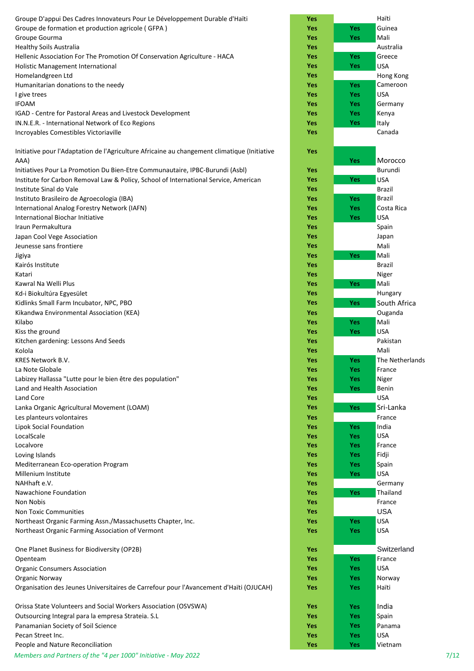| Groupe D'appui Des Cadres Innovateurs Pour Le Développement Durable d'Haïti                  | <b>Yes</b>        |            | Haïti                   |
|----------------------------------------------------------------------------------------------|-------------------|------------|-------------------------|
| Groupe de formation et production agricole (GFPA)                                            | Yes               | Yes        | Guinea                  |
| Groupe Gourma                                                                                | Yes               | Yes        | Mali                    |
| <b>Healthy Soils Australia</b>                                                               | Yes               |            | Australia               |
| Hellenic Association For The Promotion Of Conservation Agriculture - HACA                    | Yes               | Yes        | Greece                  |
| Holistic Management International                                                            | Yes               | <b>Yes</b> | <b>USA</b>              |
| Homelandgreen Ltd<br>Humanitarian donations to the needy                                     | Yes<br>Yes        | Yes        | Hong Kong<br>Cameroon   |
| I give trees                                                                                 | Yes               | Yes        | <b>USA</b>              |
| <b>IFOAM</b>                                                                                 | Yes               | Yes        | Germany                 |
| IGAD - Centre for Pastoral Areas and Livestock Development                                   | Yes               | Yes        | Kenya                   |
| IN.N.E.R. - International Network of Eco Regions                                             | Yes               | Yes        | Italy                   |
| Incroyables Comestibles Victoriaville                                                        | Yes               |            | Canada                  |
| Initiative pour l'Adaptation de l'Agriculture Africaine au changement climatique (Initiative | Yes               |            |                         |
| AAA)                                                                                         |                   | Yes        | Morocco                 |
| Initiatives Pour La Promotion Du Bien-Etre Communautaire, IPBC-Burundi (Asbl)                | Yes               |            | Burundi                 |
| Institute for Carbon Removal Law & Policy, School of International Service, American         | Yes               | Yes        | <b>USA</b>              |
| Institute Sinal do Vale                                                                      | Yes<br>Yes        | <b>Yes</b> | Brazil<br><b>Brazil</b> |
| Instituto Brasileiro de Agroecologia (IBA)<br>International Analog Forestry Network (IAFN)   | Yes               | Yes        | Costa Rica              |
| International Biochar Initiative                                                             | Yes               | Yes        | <b>USA</b>              |
| Iraun Permakultura                                                                           | <b>Yes</b>        |            | Spain                   |
| Japan Cool Vege Association                                                                  | Yes               |            | Japan                   |
| Jeunesse sans frontiere                                                                      | Yes               |            | Mali                    |
| Jigiya                                                                                       | Yes               | <b>Yes</b> | Mali                    |
| Kairós Institute                                                                             | Yes               |            | <b>Brazil</b>           |
| Katari                                                                                       | <b>Yes</b>        |            | Niger                   |
| Kawral Na Welli Plus                                                                         | Yes               | Yes        | Mali                    |
| Kd-i Biokultúra Egyesület                                                                    | Yes               |            | Hungary                 |
| Kidlinks Small Farm Incubator, NPC, PBO                                                      | Yes               | Yes        | South Africa            |
| Kikandwa Environmental Association (KEA)                                                     | Yes               |            | Ouganda                 |
| Kilabo                                                                                       | <b>Yes</b>        | Yes        | Mali                    |
| Kiss the ground<br>Kitchen gardening: Lessons And Seeds                                      | <b>Yes</b><br>Yes | <b>Yes</b> | <b>USA</b><br>Pakistan  |
| Kolola                                                                                       | Yes               |            | Mali                    |
| KRES Network B.V.                                                                            | Yes               | Yes        | The Netherla            |
| La Note Globale                                                                              | Yes               | Yes        | France                  |
| Labizey Hallassa "Lutte pour le bien être des population"                                    | Yes               | Yes        | Niger                   |
| Land and Health Association                                                                  | Yes               | Yes        | Benin                   |
| Land Core                                                                                    | Yes               |            | <b>USA</b>              |
| Lanka Organic Agricultural Movement (LOAM)                                                   | Yes               | Yes        | Sri-Lanka               |
| Les planteurs volontaires                                                                    | Yes               |            | France                  |
| Lipok Social Foundation                                                                      | Yes               | <b>Yes</b> | India                   |
| LocalScale                                                                                   | Yes               | Yes        | <b>USA</b>              |
| Localvore                                                                                    | Yes               | Yes        | France                  |
| Loving Islands<br>Mediterranean Eco-operation Program                                        | Yes<br>Yes        | Yes<br>Yes | Fidji<br>Spain          |
| Millenium Institute                                                                          | Yes               | Yes        | <b>USA</b>              |
| NAHhaft e.V.                                                                                 | Yes               |            | Germany                 |
| Nawachione Foundation                                                                        | Yes               | <b>Yes</b> | Thailand                |
| Non Nobis                                                                                    | Yes               |            | France                  |
| <b>Non Toxic Communities</b>                                                                 | Yes               |            | <b>USA</b>              |
| Northeast Organic Farming Assn./Massachusetts Chapter, Inc.                                  | Yes               | Yes        | <b>USA</b>              |
| Northeast Organic Farming Association of Vermont                                             | Yes               | Yes        | <b>USA</b>              |
| One Planet Business for Biodiversity (OP2B)                                                  | Yes               |            | Switzerland             |
| Openteam                                                                                     | Yes               | Yes        | France                  |
| <b>Organic Consumers Association</b>                                                         | Yes               | Yes        | <b>USA</b>              |
| Organic Norway                                                                               | Yes               | Yes        | Norway                  |
| Organisation des Jeunes Universitaires de Carrefour pour l'Avancement d'Haïti (OJUCAH)       | Yes               | Yes        | Haïti                   |
| Orissa State Volunteers and Social Workers Association (OSVSWA)                              | Yes               | <b>Yes</b> | India                   |
| Outsourcing Integral para la empresa Strateia. S.L                                           | Yes               | Yes        | Spain                   |
| Panamanian Society of Soil Science                                                           | <b>Yes</b>        | Yes        | Panama                  |
| Pecan Street Inc.                                                                            | <b>Yes</b>        | Yes        | <b>USA</b>              |
| People and Nature Reconciliation                                                             | Yes               | Yes        | Vietnam                 |

## **Yes Yes** Morocco **Yes Yes** The Netherlands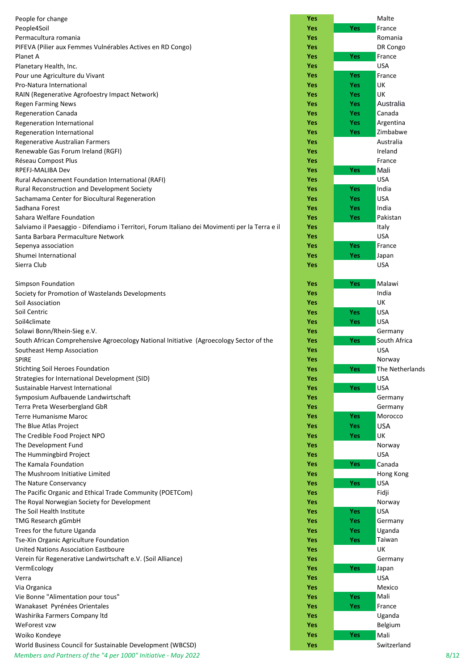People for change People4Soil **Yes Yes** France Permacultura romania PIFEVA (Pilier aux Femmes Vulnérables Actives en RD Congo) Planet A **Yes Yes** France Planetary Health, Inc. Pour une Agriculture du Vivant **Pro-Natura International RAIN (Regenerative Agrofoestry Impact Network) Regen Farming News** Regeneration Canada **Yes Yes** Canada **Regeneration International Regeneration International Regenerative Australian Farmers Renewable Gas Forum Ireland (RGFI) Réseau Compost Plus** RPEFJ-MALIBA Dev **Yes Yes** Mali **Rural Advancement Foundation International (RAFI) Rural Reconstruction and Development Society Sachamama Center for Biocultural Regeneration** Sadhana Forest **Yes Yes** India **Sahara Welfare Foundation** Salviamo il Paesaggio - Difendiamo i Territori, Forum Italiano dei Movimenti per la Terra e il **Santa Barbara Permaculture Network Sepenya association Shumei International** Sierra Club **Yes** USA **Simpson Foundation** Society for Promotion of Wastelands Developments **Soil Association** Soil Centric **Yes Yes** USA Soil4climate **Yes Yes** USA Solawi Bonn/Rhein-Sieg e.V. South African Comprehensive Agroecology National Initiative (Agroecology Sector of the **Yes Yes** South Africa **Southeast Hemp Association** SPIRE **Yes** Norway Stichting Soil Heroes Foundation **Yes Yes** The Netherlands Strategies for International Development (SID) **Sustainable Harvest International** Symposium Aufbauende Landwirtschaft **Terra Preta Weserbergland GbR Terre Humanisme Maroc The Blue Atlas Project The Credible Food Project NPO The Development Fund The Hummingbird Project The Kamala Foundation The Mushroom Initiative Limited The Nature Conservancy** The Pacific Organic and Ethical Trade Community (POETCom) The Royal Norwegian Society for Development **The Soil Health Institute TMG Research gGmbH Trees for the future Uganda Tse-Xin Organic Agriculture Foundation United Nations Association Eastboure** Verein für Regenerative Landwirtschaft e.V. (Soil Alliance) VermEcology **Yes Yes** Japan Verra **Yes** USA Via Organica **Yes** Mexico **Vie Bonne "Alimentation pour tous" Wanakaset Pyrénées Orientales Washirika Farmers Company Itd** WeForest vzw **Yes** Belgium **Woiko Kondeye** World Business Council for Sustainable Development (WBCSD) **Yes Yes** Switzerland

| 'es |     | Malte        |
|-----|-----|--------------|
| 'es | Yes | France       |
| 'es |     | Romania      |
| 'es |     | DR Congo     |
| 'es | Yes | France       |
| 'es |     | USA          |
| 'es | Yes | France       |
| 'es | Yes | UK           |
| 'es | Yes | UK           |
| 'es | Yes | Australia    |
| 'es | Yes | Canada       |
| 'es | Yes | Argentina    |
| 'es | Yes | Zimbabwe     |
| 'es |     | Australia    |
| 'es |     | Ireland      |
| 'es |     | France       |
| 'es | Yes | Mali         |
| 'es |     | <b>USA</b>   |
| 'es | Yes | India        |
| 'es | Yes | USA          |
| 'es | Yes | India        |
| 'es | Yes | Pakistan     |
| 'es |     | Italy        |
| 'es |     | <b>USA</b>   |
| 'es | Yes | France       |
| 'es | Yes | Japan        |
| 'es |     | USA          |
|     |     |              |
| 'es | Yes | Malawi       |
| 'es |     | India        |
| 'es |     | UK           |
| 'es | Yes | USA          |
| 'es |     | <b>USA</b>   |
|     | Yes |              |
| 'es |     | Germany      |
| 'es | Yes | South Africa |
| 'es |     | USA          |
| 'es |     | Norway       |
| 'es | Yes | The Netherla |
| 'es |     | USA          |
| 'es | Yes | USA          |
| 'es |     | Germany      |
| 'es |     | Germany      |
| 'es | Yes | Morocco      |
| 'es | Yes | USA          |
| 'es | Yes | UK           |
| 'es |     | Norway       |
| 'es |     | USA          |
| 'es | Yes | Canada       |
| 'es |     | Hong Kong    |
| 'es | Yes | USA          |
| 'es |     | Fidji        |
| 'es |     | Norway       |
| 'es | Yes | USA          |
| 'es | Yes | Germany      |
| 'es | Yes | Uganda       |
| 'es | Yes | Taiwan       |
| 'es |     | UK           |
| 'es |     | Germany      |
| 'es | Yes | Japan        |
| 'es |     | USA          |
| 'es |     | Mexico       |
| 'es | Yes | Mali         |
| 'es | Yes | France       |
| 'es |     | Uganda       |
| 'es |     | Belgium      |
| 'es | Yes | Mali         |
|     |     |              |

*Members and Partners of the "4 per 1000" Initiative - May 2022* 8/12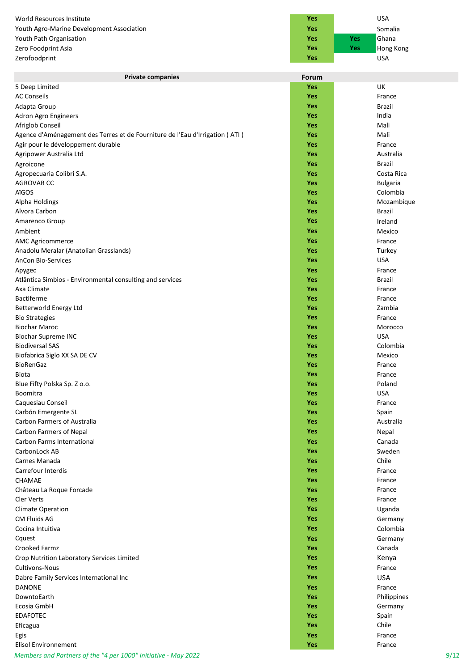**World Resources Institute** Youth Agro-Marine Development Association **Youth Path Organisation Zero Foodprint Asia Zerofoodprint** 

| Yes |         | USA       |  |
|-----|---------|-----------|--|
| Yes | Somalia |           |  |
| Yes | Yes     | Ghana     |  |
| Yes | Yes     | Hong Kong |  |
| Yes |         | USA       |  |

| <b>Private companies</b>                                                     | Forum      |                 |
|------------------------------------------------------------------------------|------------|-----------------|
| 5 Deep Limited                                                               | <b>Yes</b> | UK              |
| <b>AC Conseils</b>                                                           | <b>Yes</b> | France          |
| Adapta Group                                                                 | Yes        | Brazil          |
| Adron Agro Engineers                                                         | Yes        | India           |
| Afriglob Conseil                                                             | <b>Yes</b> | Mali            |
| Agence d'Aménagement des Terres et de Fourniture de l'Eau d'Irrigation (ATI) | Yes        | Mali            |
| Agir pour le développement durable                                           | <b>Yes</b> | France          |
| Agripower Australia Ltd                                                      | <b>Yes</b> | Australia       |
| Agroicone                                                                    | <b>Yes</b> | <b>Brazil</b>   |
| Agropecuaria Colibri S.A.                                                    | <b>Yes</b> | Costa Rica      |
| <b>AGROVAR CC</b>                                                            | <b>Yes</b> | <b>Bulgaria</b> |
| AïGOS                                                                        | <b>Yes</b> | Colombia        |
| Alpha Holdings                                                               | <b>Yes</b> | Mozambique      |
| Alvora Carbon                                                                | <b>Yes</b> | Brazil          |
| Amarenco Group                                                               | <b>Yes</b> | Ireland         |
| Ambient                                                                      | <b>Yes</b> | Mexico          |
|                                                                              |            |                 |
| <b>AMC Agricommerce</b>                                                      | <b>Yes</b> | France          |
| Anadolu Meralar (Anatolian Grasslands)                                       | <b>Yes</b> | Turkey          |
| AnCon Bio-Services                                                           | <b>Yes</b> | <b>USA</b>      |
| Apygec                                                                       | <b>Yes</b> | France          |
| Atlântica Simbios - Environmental consulting and services                    | <b>Yes</b> | <b>Brazil</b>   |
| Axa Climate                                                                  | <b>Yes</b> | France          |
| <b>Bactiferme</b>                                                            | <b>Yes</b> | France          |
| Betterworld Energy Ltd                                                       | <b>Yes</b> | Zambia          |
| <b>Bio Strategies</b>                                                        | <b>Yes</b> | France          |
| <b>Biochar Maroc</b>                                                         | <b>Yes</b> | Morocco         |
| <b>Biochar Supreme INC</b>                                                   | <b>Yes</b> | <b>USA</b>      |
| <b>Biodiversal SAS</b>                                                       | <b>Yes</b> | Colombia        |
| Biofabrica Siglo XX SA DE CV                                                 | <b>Yes</b> | Mexico          |
| BioRenGaz                                                                    | <b>Yes</b> | France          |
| <b>Biota</b>                                                                 | <b>Yes</b> | France          |
| Blue Fifty Polska Sp. Z o.o.                                                 | <b>Yes</b> | Poland          |
| Boomitra                                                                     | <b>Yes</b> | <b>USA</b>      |
| Caquesiau Conseil                                                            | Yes        | France          |
| Carbón Emergente SL                                                          | <b>Yes</b> | Spain           |
| Carbon Farmers of Australia                                                  | <b>Yes</b> | Australia       |
| Carbon Farmers of Nepal                                                      | Yes        | Nepal           |
| Carbon Farms International                                                   | Yes        | Canada          |
| CarbonLock AB                                                                | Yes        | Sweden          |
| Carnes Manada                                                                | <b>Yes</b> | Chile           |
| Carrefour Interdis                                                           | Yes        | France          |
| CHAMAE                                                                       | Yes        | France          |
| Château La Roque Forcade                                                     | <b>Yes</b> | France          |
| <b>Cler Verts</b>                                                            | <b>Yes</b> | France          |
|                                                                              |            |                 |
| <b>Climate Operation</b>                                                     | <b>Yes</b> | Uganda          |
| <b>CM Fluids AG</b>                                                          | Yes        | Germany         |
| Cocina Intuitiva                                                             | Yes        | Colombia        |
| Cquest                                                                       | <b>Yes</b> | Germany         |
| Crooked Farmz                                                                | <b>Yes</b> | Canada          |
| Crop Nutrition Laboratory Services Limited                                   | <b>Yes</b> | Kenya           |
| <b>Cultivons-Nous</b>                                                        | <b>Yes</b> | France          |
| Dabre Family Services International Inc                                      | Yes        | <b>USA</b>      |
| <b>DANONE</b>                                                                | <b>Yes</b> | France          |
| DowntoEarth                                                                  | <b>Yes</b> | Philippines     |
| Ecosia GmbH                                                                  | Yes        | Germany         |
| <b>EDAFOTEC</b>                                                              | Yes        | Spain           |
| Eficagua                                                                     | Yes        | Chile           |
| Egis                                                                         | Yes        | France          |
| <b>Elisol Environnement</b>                                                  | Yes        | France          |
| Members and Partners of the "4 per 1000" Initiative - May 2022               |            | 9/12            |
|                                                                              |            |                 |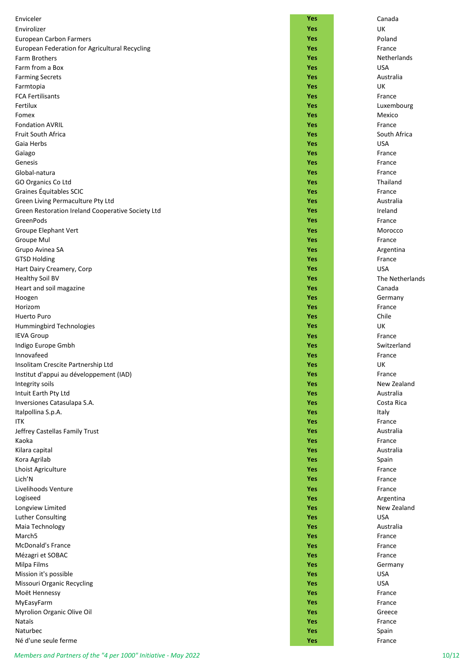| Enviceler                                         | Yes        | Canada          |
|---------------------------------------------------|------------|-----------------|
| Envirolizer                                       | Yes        | UK              |
| European Carbon Farmers                           | Yes        | Poland          |
| European Federation for Agricultural Recycling    | Yes        | France          |
| <b>Farm Brothers</b>                              | Yes        | Netherlands     |
| Farm from a Box                                   | Yes        | <b>USA</b>      |
| <b>Farming Secrets</b>                            | Yes        | Australia       |
| Farmtopia                                         | Yes        | UK              |
| <b>FCA Fertilisants</b>                           | Yes        | France          |
| Fertilux                                          | Yes        | Luxembourg      |
| Fomex                                             | Yes        | Mexico          |
| <b>Fondation AVRIL</b>                            | Yes        | France          |
| Fruit South Africa                                | Yes        | South Africa    |
| Gaia Herbs                                        | Yes        | <b>USA</b>      |
| Gaïago                                            | Yes        | France          |
| Genesis                                           | Yes        | France          |
| Global-natura                                     | Yes        | France          |
| GO Organics Co Ltd                                | Yes        | Thailand        |
| Graines Équitables SCIC                           | Yes        | France          |
| Green Living Permaculture Pty Ltd                 | Yes        | Australia       |
| Green Restoration Ireland Cooperative Society Ltd | Yes        | Ireland         |
| GreenPods                                         | Yes        | France          |
| Groupe Elephant Vert                              | Yes        | Morocco         |
| Groupe Mul                                        | Yes        | France          |
| Grupo Avinea SA                                   | Yes        | Argentina       |
| <b>GTSD Holding</b>                               | Yes        | France          |
| Hart Dairy Creamery, Corp                         | Yes        | <b>USA</b>      |
| <b>Healthy Soil BV</b>                            | Yes        | The Netherlands |
| Heart and soil magazine                           | Yes        | Canada          |
| Hoogen                                            | Yes        | Germany         |
| Horizom                                           | Yes        | France          |
| Huerto Puro                                       | Yes        | Chile           |
| Hummingbird Technologies                          | Yes        | UK              |
| <b>IEVA Group</b>                                 | Yes        | France          |
| Indigo Europe Gmbh                                | Yes        | Switzerland     |
| Innovafeed                                        | Yes        | France          |
| Insolitam Crescite Partnership Ltd                | Yes        | UK              |
| Institut d'appui au développement (IAD)           | Yes        | France          |
| Integrity soils                                   | Yes        | New Zealand     |
| Intuit Earth Pty Ltd                              | Yes        | Australia       |
| Inversiones Catasulapa S.A.                       | Yes        | Costa Rica      |
| Italpollina S.p.A.<br>ITK                         | Yes<br>Yes | Italy<br>France |
| Jeffrey Castellas Family Trust                    | Yes        | Australia       |
| Kaoka                                             | Yes        | France          |
| Kilara capital                                    | Yes        | Australia       |
| Kora Agrilab                                      | Yes        | Spain           |
| Lhoist Agriculture                                | Yes        | France          |
| Lich'N                                            | Yes        | France          |
| Livelihoods Venture                               | Yes        | France          |
| Logiseed                                          | <b>Yes</b> | Argentina       |
| Longview Limited                                  | Yes        | New Zealand     |
| Luther Consulting                                 | Yes        | <b>USA</b>      |
| Maia Technology                                   | Yes        | Australia       |
| March <sub>5</sub>                                | Yes        | France          |
| <b>McDonald's France</b>                          | Yes        | France          |
| Mézagri et SOBAC                                  | Yes        | France          |
| Milpa Films                                       | Yes        | Germany         |
| Mission it's possible                             | Yes        | <b>USA</b>      |
| Missouri Organic Recycling                        | Yes        | <b>USA</b>      |
| Moët Hennessy                                     | Yes        | France          |
| MyEasyFarm                                        | Yes        | France          |
| Myrolion Organic Olive Oil                        | Yes        | Greece          |
| Nataïs                                            | Yes        | France          |
| Naturbec                                          | Yes        | Spain           |
| Né d'une seule ferme                              | Yes        | France          |

|  | Canada                 |
|--|------------------------|
|  | UK                     |
|  | Poland                 |
|  | France                 |
|  | Netherlan              |
|  | USA                    |
|  | Australia              |
|  | UK                     |
|  | France                 |
|  | Luxembou               |
|  | Mexico                 |
|  | France<br>South Afri   |
|  | <b>USA</b>             |
|  | France                 |
|  | France                 |
|  | France                 |
|  | Thailand               |
|  | France                 |
|  | Australia              |
|  | Ireland                |
|  | France                 |
|  | Morocco                |
|  | France                 |
|  | Argentina              |
|  | France                 |
|  | <b>USA</b>             |
|  | The Nethe              |
|  | Canada                 |
|  | Germany                |
|  | France                 |
|  | Chile                  |
|  | UK                     |
|  | France<br>Switzerlan   |
|  |                        |
|  | France<br>UK           |
|  | France                 |
|  | New Zeala              |
|  | Australia              |
|  | Costa Rica             |
|  | Italy                  |
|  | France                 |
|  | Australia              |
|  | France                 |
|  | Australia              |
|  | Spain                  |
|  | France                 |
|  | France                 |
|  | France                 |
|  | Argentina<br>New Zeala |
|  | <b>USA</b>             |
|  | Australia              |
|  | France                 |
|  | France                 |
|  | France                 |
|  | Germany                |
|  | <b>USA</b>             |
|  | USA                    |
|  | France                 |
|  | France                 |
|  | Greece                 |
|  | France                 |
|  | Spain                  |
|  | Erance                 |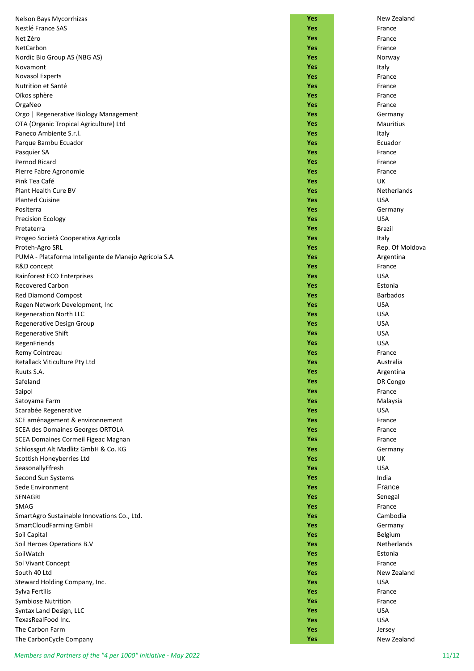| Nelson Bays Mycorrhizas                               | Yes        | New Zealand      |
|-------------------------------------------------------|------------|------------------|
| Nestlé France SAS                                     | <b>Yes</b> | France           |
| Net Zéro                                              | Yes        | France           |
| NetCarbon                                             | Yes        | France           |
|                                                       | Yes        |                  |
| Nordic Bio Group AS (NBG AS)                          |            | Norway           |
| Novamont<br><b>Novasol Experts</b>                    | Yes        | Italy            |
|                                                       | Yes        | France           |
| Nutrition et Santé                                    | Yes        | France           |
| Oïkos sphère                                          | Yes        | France           |
| OrgaNeo                                               | Yes        | France           |
| Orgo   Regenerative Biology Management                | Yes        | Germany          |
| OTA (Organic Tropical Agriculture) Ltd                | Yes        | <b>Mauritius</b> |
| Paneco Ambiente S.r.l.                                | Yes        | Italy            |
| Parque Bambu Ecuador                                  | Yes        | Ecuador          |
| Pasquier SA                                           | Yes        | France           |
| Pernod Ricard                                         | Yes        | France           |
| Pierre Fabre Agronomie                                | Yes        | France           |
| Pink Tea Café                                         | Yes        | UK               |
| Plant Health Cure BV                                  | Yes        | Netherlands      |
| <b>Planted Cuisine</b>                                | Yes        | <b>USA</b>       |
| Positerra                                             | Yes        | Germany          |
| <b>Precision Ecology</b>                              | Yes        | <b>USA</b>       |
| Pretaterra                                            | Yes        | <b>Brazil</b>    |
| Progeo Società Cooperativa Agricola                   | <b>Yes</b> | Italy            |
| Proteh-Agro SRL                                       | <b>Yes</b> | Rep. Of Moldova  |
| PUMA - Plataforma Inteligente de Manejo Agricola S.A. | Yes        | Argentina        |
| R&D concept                                           | Yes        | France           |
|                                                       | <b>Yes</b> | <b>USA</b>       |
| Rainforest ECO Enterprises<br><b>Recovered Carbon</b> | <b>Yes</b> | Estonia          |
|                                                       | <b>Yes</b> | <b>Barbados</b>  |
| <b>Red Diamond Compost</b>                            |            |                  |
| Regen Network Development, Inc                        | <b>Yes</b> | <b>USA</b>       |
| Regeneration North LLC                                | Yes        | <b>USA</b>       |
| Regenerative Design Group                             | Yes        | <b>USA</b>       |
| Regenerative Shift                                    | Yes        | <b>USA</b>       |
| RegenFriends                                          | <b>Yes</b> | <b>USA</b>       |
| Remy Cointreau                                        | Yes        | France           |
| Retallack Viticulture Pty Ltd                         | Yes        | Australia        |
| Ruuts S.A.                                            | Yes        | Argentina        |
| Safeland                                              | Yes        | DR Congo         |
| Saipol                                                | <b>Yes</b> | France           |
| Satoyama Farm                                         | <b>Yes</b> | Malaysia         |
| Scarabée Regenerative                                 | <b>Yes</b> | <b>USA</b>       |
| SCE aménagement & environnement                       | <b>Yes</b> | France           |
| <b>SCEA des Domaines Georges ORTOLA</b>               | Yes        | France           |
| SCEA Domaines Cormeil Figeac Magnan                   | Yes        | France           |
| Schlossgut Alt Madlitz GmbH & Co. KG                  | Yes        | Germany          |
| Scottish Honeyberries Ltd                             | Yes        | UK               |
| SeasonallyFfresh                                      | Yes        | <b>USA</b>       |
| Second Sun Systems                                    | Yes        | India            |
|                                                       |            | France           |
| Sede Environment                                      | Yes        |                  |
| SENAGRI                                               | Yes        | Senegal          |
| <b>SMAG</b>                                           | Yes        | France           |
| SmartAgro Sustainable Innovations Co., Ltd.           | Yes        | Cambodia         |
| SmartCloudFarming GmbH                                | Yes        | Germany          |
| Soil Capital                                          | <b>Yes</b> | Belgium          |
| Soil Heroes Operations B.V                            | <b>Yes</b> | Netherlands      |
| SoilWatch                                             | <b>Yes</b> | Estonia          |
| Sol Vivant Concept                                    | <b>Yes</b> | France           |
| South 40 Ltd                                          | <b>Yes</b> | New Zealand      |
| Steward Holding Company, Inc.                         | <b>Yes</b> | <b>USA</b>       |
| Sylva Fertilis                                        | <b>Yes</b> | France           |
| <b>Symbiose Nutrition</b>                             | <b>Yes</b> | France           |
| Syntax Land Design, LLC                               | Yes        | <b>USA</b>       |
| TexasRealFood Inc.                                    | <b>Yes</b> | <b>USA</b>       |
| The Carbon Farm                                       | Yes        | Jersey           |
|                                                       |            |                  |

| Nelson Bays Mycorrhizas                                              | <b>Yes</b>        | New Zealand                      |
|----------------------------------------------------------------------|-------------------|----------------------------------|
| Nestlé France SAS                                                    | <b>Yes</b>        | France                           |
| Net Zéro                                                             | Yes               | France                           |
| NetCarbon                                                            | Yes               | France                           |
| Nordic Bio Group AS (NBG AS)                                         | Yes               | Norway                           |
| Novamont                                                             | Yes               | Italy                            |
| Novasol Experts                                                      | Yes               | France                           |
| Nutrition et Santé                                                   | Yes               | France                           |
| Oïkos sphère                                                         | Yes               | France                           |
| OrgaNeo                                                              | <b>Yes</b>        | France                           |
| Orgo   Regenerative Biology Management                               | <b>Yes</b>        | Germany                          |
| OTA (Organic Tropical Agriculture) Ltd                               | <b>Yes</b>        | <b>Mauritius</b>                 |
| Paneco Ambiente S.r.l.                                               | <b>Yes</b>        | Italy                            |
| Parque Bambu Ecuador                                                 | <b>Yes</b>        | Ecuador                          |
| Pasquier SA                                                          | Yes               | France                           |
| Pernod Ricard                                                        | Yes               | France                           |
| Pierre Fabre Agronomie                                               | <b>Yes</b>        | France                           |
| Pink Tea Café<br>Plant Health Cure BV                                | <b>Yes</b>        | UK                               |
|                                                                      | <b>Yes</b>        | <b>Netherlands</b><br><b>USA</b> |
| <b>Planted Cuisine</b>                                               | Yes               |                                  |
| Positerra                                                            | Yes               | Germany<br><b>USA</b>            |
| <b>Precision Ecology</b>                                             | Yes<br>Yes        |                                  |
| Pretaterra                                                           |                   | <b>Brazil</b>                    |
| Progeo Società Cooperativa Agricola                                  | Yes<br><b>Yes</b> | Italy                            |
| Proteh-Agro SRL                                                      | <b>Yes</b>        | Rep. Of Mold                     |
| PUMA - Plataforma Inteligente de Manejo Agricola S.A.<br>R&D concept | <b>Yes</b>        | Argentina<br>France              |
|                                                                      | Yes               | <b>USA</b>                       |
| Rainforest ECO Enterprises<br>Recovered Carbon                       | Yes               | Estonia                          |
| <b>Red Diamond Compost</b>                                           | Yes               | <b>Barbados</b>                  |
| Regen Network Development, Inc                                       | <b>Yes</b>        | <b>USA</b>                       |
| Regeneration North LLC                                               | Yes               | <b>USA</b>                       |
| Regenerative Design Group                                            | Yes               | <b>USA</b>                       |
| <b>Regenerative Shift</b>                                            | Yes               | <b>USA</b>                       |
| RegenFriends                                                         | Yes               | <b>USA</b>                       |
| Remy Cointreau                                                       | <b>Yes</b>        | France                           |
| Retallack Viticulture Pty Ltd                                        | Yes               | Australia                        |
| Ruuts S.A.                                                           | Yes               | Argentina                        |
| Safeland                                                             | <b>Yes</b>        | DR Congo                         |
| Saipol                                                               | <b>Yes</b>        | France                           |
| Satoyama Farm                                                        | Yes               | Malaysia                         |
| Scarabée Regenerative                                                | Yes               | <b>USA</b>                       |
| SCE aménagement & environnement                                      | <b>Yes</b>        | France                           |
| SCEA des Domaines Georges ORTOLA                                     | <b>Yes</b>        | France                           |
| SCEA Domaines Cormeil Figeac Magnan                                  | <b>Yes</b>        | France                           |
| Schlossgut Alt Madlitz GmbH & Co. KG                                 | Yes               | Germany                          |
| Scottish Honeyberries Ltd                                            | Yes               | UK                               |
| SeasonallyFfresh                                                     | <b>Yes</b>        | <b>USA</b>                       |
| Second Sun Systems                                                   | <b>Yes</b>        | India                            |
| Sede Environment                                                     | Yes               | France                           |
| SENAGRI                                                              | Yes               | Senegal                          |
| <b>SMAG</b>                                                          | Yes               | France                           |
| SmartAgro Sustainable Innovations Co., Ltd.                          | <b>Yes</b>        | Cambodia                         |
| SmartCloudFarming GmbH                                               | <b>Yes</b>        | Germany                          |
| Soil Capital                                                         | <b>Yes</b>        | Belgium                          |
| Soil Heroes Operations B.V                                           | Yes               | Netherlands                      |
| SoilWatch                                                            | Yes               | Estonia                          |
| Sol Vivant Concept                                                   | Yes               | France                           |
| South 40 Ltd                                                         | Yes               | New Zealand                      |
| Steward Holding Company, Inc.                                        | Yes               | <b>USA</b>                       |
| Sylva Fertilis                                                       | Yes               | France                           |
| <b>Symbiose Nutrition</b>                                            | Yes               | France                           |
| Syntax Land Design, LLC                                              | <b>Yes</b>        | <b>USA</b>                       |
| TexasRealFood Inc.                                                   | <b>Yes</b>        | <b>USA</b>                       |
| The Carbon Farm                                                      | <b>Yes</b>        | Jersey                           |
| The CarbonCycle Company                                              | <b>Yes</b>        | New Zealand                      |